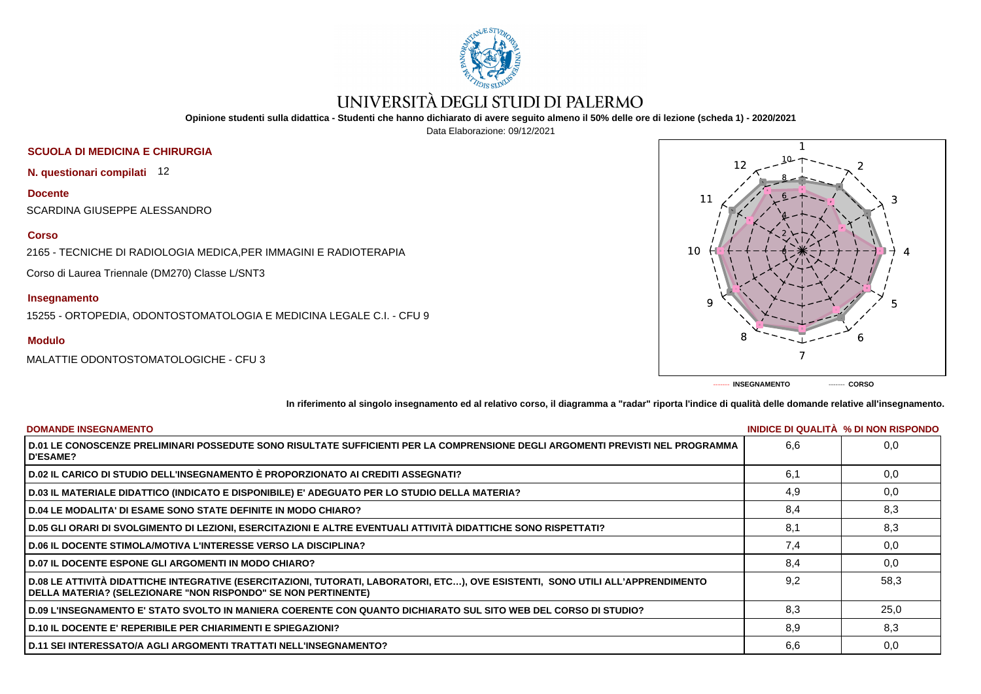

# UNIVERSITÀ DEGLI STUDI DI PALERMO

**Opinione studenti sulla didattica - Studenti che hanno dichiarato di avere seguito almeno il 50% delle ore di lezione (scheda 1) - 2020/2021**

Data Elaborazione: 09/12/2021

# **SCUOLA DI MEDICINA E CHIRURGIA**

**N. questionari compilati** 12

**Docente** SCARDINA GIUSEPPE ALESSANDRO

### **Corso**

2165 - TECNICHE DI RADIOLOGIA MEDICA,PER IMMAGINI E RADIOTERAPIA

Corso di Laurea Triennale (DM270) Classe L/SNT3

## **Insegnamento**

15255 - ORTOPEDIA, ODONTOSTOMATOLOGIA E MEDICINA LEGALE C.I. - CFU 9

## **Modulo**

MALATTIE ODONTOSTOMATOLOGICHE - CFU 3



**In riferimento al singolo insegnamento ed al relativo corso, il diagramma a "radar" riporta l'indice di qualità delle domande relative all'insegnamento.**

| <b>DOMANDE INSEGNAMENTO</b>                                                                                                                                                                             |     | INIDICE DI QUALITA % DI NON RISPONDO |
|---------------------------------------------------------------------------------------------------------------------------------------------------------------------------------------------------------|-----|--------------------------------------|
| D.01 LE CONOSCENZE PRELIMINARI POSSEDUTE SONO RISULTATE SUFFICIENTI PER LA COMPRENSIONE DEGLI ARGOMENTI PREVISTI NEL PROGRAMMA<br><b>D'ESAME?</b>                                                       | 6.6 | 0,0                                  |
| D.02 IL CARICO DI STUDIO DELL'INSEGNAMENTO È PROPORZIONATO AI CREDITI ASSEGNATI?                                                                                                                        | 6.1 | 0,0                                  |
| D.03 IL MATERIALE DIDATTICO (INDICATO E DISPONIBILE) E' ADEGUATO PER LO STUDIO DELLA MATERIA?                                                                                                           | 4,9 | 0,0                                  |
| <b>D.04 LE MODALITA' DI ESAME SONO STATE DEFINITE IN MODO CHIARO?</b>                                                                                                                                   | 8.4 | 8,3                                  |
| D.05 GLI ORARI DI SVOLGIMENTO DI LEZIONI, ESERCITAZIONI E ALTRE EVENTUALI ATTIVITÀ DIDATTICHE SONO RISPETTATI?                                                                                          | 8,1 | 8,3                                  |
| <b>D.06 IL DOCENTE STIMOLA/MOTIVA L'INTERESSE VERSO LA DISCIPLINA?</b>                                                                                                                                  | 7.4 | 0,0                                  |
| <b>D.07 IL DOCENTE ESPONE GLI ARGOMENTI IN MODO CHIARO?</b>                                                                                                                                             | 8.4 | 0,0                                  |
| D.08 LE ATTIVITÀ DIDATTICHE INTEGRATIVE (ESERCITAZIONI, TUTORATI, LABORATORI, ETC), OVE ESISTENTI, SONO UTILI ALL'APPRENDIMENTO<br><b>DELLA MATERIA? (SELEZIONARE "NON RISPONDO" SE NON PERTINENTE)</b> | 9.2 | 58.3                                 |
| D.09 L'INSEGNAMENTO E' STATO SVOLTO IN MANIERA COERENTE CON QUANTO DICHIARATO SUL SITO WEB DEL CORSO DI STUDIO?                                                                                         | 8.3 | 25,0                                 |
| <b>D.10 IL DOCENTE E' REPERIBILE PER CHIARIMENTI E SPIEGAZIONI?</b>                                                                                                                                     | 8.9 | 8,3                                  |
| <b>D.11 SEI INTERESSATO/A AGLI ARGOMENTI TRATTATI NELL'INSEGNAMENTO?</b>                                                                                                                                | 6,6 | 0,0                                  |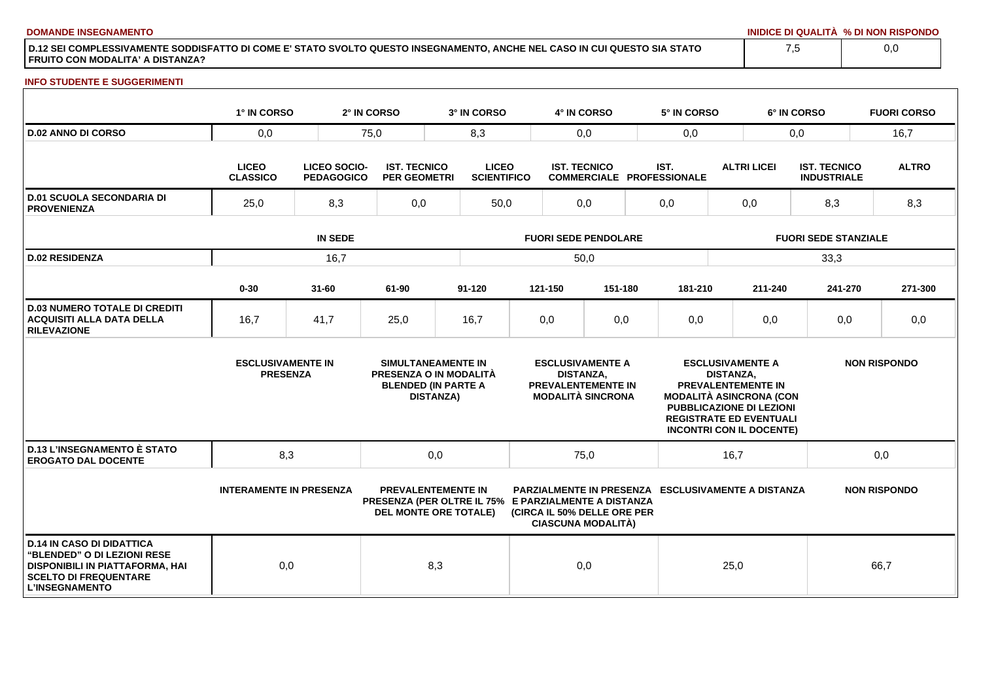**DOMANDE INSEGNAMENTO INIDICE DI QUALITÀ % DI NON RISPONDO**

**D.12 SEI COMPLESSIVAMENTE SODDISFATTO DI COME E' STATO SVOLTO QUESTO INSEGNAMENTO, ANCHE NEL CASO IN CUI QUESTO SIA STATO FRUITO CON MODALITA' A DISTANZA?**

#### **INFO STUDENTE E SUGGERIMENTI**

|                                                                                                                                                                    | 1° IN CORSO                                 |                                          | 2° IN CORSO                                | 3° IN CORSO                                                                                                       |                             | 4° IN CORSO                                                                                          |                                  |      | 5° IN CORSO                                                                                                                     |                             |                                               | 6° IN CORSO                               |     | <b>FUORI CORSO</b>  |
|--------------------------------------------------------------------------------------------------------------------------------------------------------------------|---------------------------------------------|------------------------------------------|--------------------------------------------|-------------------------------------------------------------------------------------------------------------------|-----------------------------|------------------------------------------------------------------------------------------------------|----------------------------------|------|---------------------------------------------------------------------------------------------------------------------------------|-----------------------------|-----------------------------------------------|-------------------------------------------|-----|---------------------|
| <b>D.02 ANNO DI CORSO</b>                                                                                                                                          | 0,0                                         |                                          | 75,0<br>8,3                                |                                                                                                                   |                             | 0,0                                                                                                  |                                  | 0,0  |                                                                                                                                 |                             |                                               | 0,0                                       |     | 16,7                |
|                                                                                                                                                                    | <b>LICEO</b><br><b>CLASSICO</b>             | <b>LICEO SOCIO-</b><br><b>PEDAGOGICO</b> | <b>IST. TECNICO</b><br><b>PER GEOMETRI</b> | <b>LICEO</b><br><b>SCIENTIFICO</b>                                                                                |                             | <b>IST. TECNICO</b>                                                                                  | <b>COMMERCIALE PROFESSIONALE</b> |      | IST.                                                                                                                            |                             | <b>ALTRI LICEI</b>                            | <b>IST. TECNICO</b><br><b>INDUSTRIALE</b> |     | <b>ALTRO</b>        |
| <b>D.01 SCUOLA SECONDARIA DI</b><br><b>PROVENIENZA</b>                                                                                                             | 8,3<br>25,0                                 |                                          | 0,0                                        | 50,0                                                                                                              |                             | 0,0                                                                                                  |                                  | 0,0  |                                                                                                                                 | 0,0                         |                                               | 8,3                                       |     | 8,3                 |
|                                                                                                                                                                    | <b>IN SEDE</b>                              |                                          |                                            |                                                                                                                   | <b>FUORI SEDE PENDOLARE</b> |                                                                                                      |                                  |      |                                                                                                                                 | <b>FUORI SEDE STANZIALE</b> |                                               |                                           |     |                     |
| <b>D.02 RESIDENZA</b>                                                                                                                                              | 16,7                                        |                                          |                                            |                                                                                                                   | 50,0                        |                                                                                                      |                                  |      |                                                                                                                                 |                             |                                               | 33,3                                      |     |                     |
|                                                                                                                                                                    | $0 - 30$                                    | $31 - 60$                                | 61-90                                      | 91-120                                                                                                            |                             | 121-150                                                                                              | 151-180                          |      | 181-210                                                                                                                         |                             | 211-240                                       | 241-270                                   |     | 271-300             |
| <b>D.03 NUMERO TOTALE DI CREDITI</b><br><b>ACQUISITI ALLA DATA DELLA</b><br><b>RILEVAZIONE</b>                                                                     | 16,7                                        | 41,7                                     | 25,0                                       | 16,7                                                                                                              |                             | 0,0                                                                                                  | 0,0                              |      | 0,0                                                                                                                             |                             | 0,0                                           | 0,0                                       |     | 0,0                 |
|                                                                                                                                                                    | <b>ESCLUSIVAMENTE IN</b><br><b>PRESENZA</b> |                                          |                                            | <b>SIMULTANEAMENTE IN</b><br>PRESENZA O IN MODALITÀ<br><b>BLENDED (IN PARTE A</b><br><b>DISTANZA)</b>             |                             | <b>ESCLUSIVAMENTE A</b><br><b>DISTANZA.</b><br><b>PREVALENTEMENTE IN</b><br><b>MODALITÀ SINCRONA</b> |                                  |      | <b>MODALITÀ ASINCRONA (CON</b><br>PUBBLICAZIONE DI LEZIONI<br><b>REGISTRATE ED EVENTUALI</b><br><b>INCONTRI CON IL DOCENTE)</b> | <b>DISTANZA.</b>            | <b>ESCLUSIVAMENTE A</b><br>PREVALENTEMENTE IN |                                           |     | <b>NON RISPONDO</b> |
| <b>D.13 L'INSEGNAMENTO È STATO</b><br><b>EROGATO DAL DOCENTE</b>                                                                                                   | 8,3                                         |                                          |                                            | 0,0                                                                                                               |                             | 75,0                                                                                                 |                                  | 16,7 |                                                                                                                                 |                             |                                               |                                           | 0,0 |                     |
|                                                                                                                                                                    | <b>INTERAMENTE IN PRESENZA</b>              |                                          |                                            | <b>PREVALENTEMENTE IN</b><br>PRESENZA (PER OLTRE IL 75% E PARZIALMENTE A DISTANZA<br><b>DEL MONTE ORE TOTALE)</b> |                             | (CIRCA IL 50% DELLE ORE PER<br><b>CIASCUNA MODALITÀ)</b>                                             |                                  |      | <b>PARZIALMENTE IN PRESENZA ESCLUSIVAMENTE A DISTANZA</b>                                                                       |                             |                                               |                                           |     | <b>NON RISPONDO</b> |
| <b>D.14 IN CASO DI DIDATTICA</b><br><b>"BLENDED" O DI LEZIONI RESE</b><br>DISPONIBILI IN PIATTAFORMA, HAI<br><b>SCELTO DI FREQUENTARE</b><br><b>L'INSEGNAMENTO</b> | 0,0                                         |                                          |                                            | 8,3                                                                                                               |                             | 0,0                                                                                                  |                                  |      |                                                                                                                                 | 25,0                        |                                               |                                           |     | 66,7                |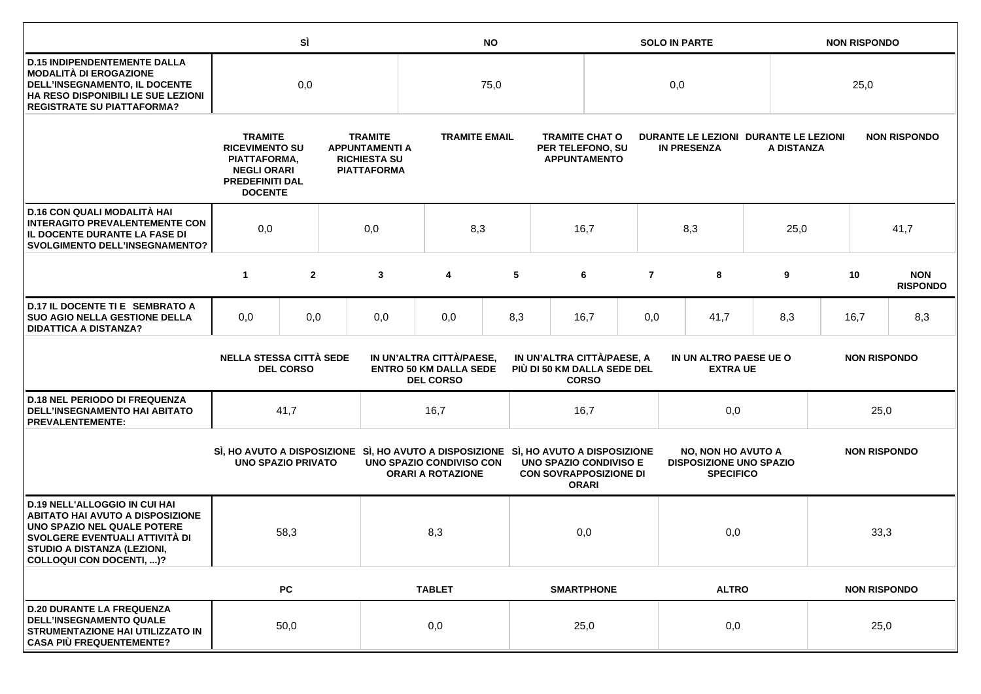|                                                                                                                                                                                                                    |                                | SÌ                                                                                                                                                                                                                |     | <b>NO</b>                                                                                                       |                                                                               |      |                                                                  |                   | <b>SOLO IN PARTE</b> |                                                                                 |                 |            |                     | <b>NON RISPONDO</b> |                               |  |
|--------------------------------------------------------------------------------------------------------------------------------------------------------------------------------------------------------------------|--------------------------------|-------------------------------------------------------------------------------------------------------------------------------------------------------------------------------------------------------------------|-----|-----------------------------------------------------------------------------------------------------------------|-------------------------------------------------------------------------------|------|------------------------------------------------------------------|-------------------|----------------------|---------------------------------------------------------------------------------|-----------------|------------|---------------------|---------------------|-------------------------------|--|
| <b>D.15 INDIPENDENTEMENTE DALLA</b><br><b>MODALITÀ DI EROGAZIONE</b><br>DELL'INSEGNAMENTO, IL DOCENTE<br>HA RESO DISPONIBILI LE SUE LEZIONI<br><b>REGISTRATE SU PIATTAFORMA?</b>                                   | 0,0                            |                                                                                                                                                                                                                   |     |                                                                                                                 | 75,0                                                                          |      |                                                                  | 0,0               |                      |                                                                                 |                 |            | 25,0                |                     |                               |  |
|                                                                                                                                                                                                                    |                                | <b>TRAMITE</b><br><b>TRAMITE</b><br><b>RICEVIMENTO SU</b><br><b>APPUNTAMENTI A</b><br><b>RICHIESTA SU</b><br>PIATTAFORMA,<br><b>NEGLI ORARI</b><br><b>PIATTAFORMA</b><br><b>PREDEFINITI DAL</b><br><b>DOCENTE</b> |     |                                                                                                                 | <b>TRAMITE EMAIL</b>                                                          |      | <b>TRAMITE CHAT O</b><br>PER TELEFONO, SU<br><b>APPUNTAMENTO</b> |                   |                      | DURANTE LE LEZIONI DURANTE LE LEZIONI<br><b>IN PRESENZA</b>                     |                 | A DISTANZA |                     | <b>NON RISPONDO</b> |                               |  |
| D.16 CON QUALI MODALITÀ HAI<br><b>INTERAGITO PREVALENTEMENTE CON</b><br>IL DOCENTE DURANTE LA FASE DI<br><b>SVOLGIMENTO DELL'INSEGNAMENTO?</b>                                                                     | 0,0                            |                                                                                                                                                                                                                   | 0,0 | 8,3                                                                                                             |                                                                               | 16,7 |                                                                  |                   | 8,3                  |                                                                                 | 25,0            |            | 41,7                |                     |                               |  |
|                                                                                                                                                                                                                    | $\mathbf{1}$                   | $\overline{2}$                                                                                                                                                                                                    |     | 3                                                                                                               | 4                                                                             | 5    |                                                                  | 6                 | $\overline{7}$       | 8                                                                               |                 | 9          |                     | 10                  | <b>NON</b><br><b>RISPONDO</b> |  |
| D.17 IL DOCENTE TI E SEMBRATO A<br><b>SUO AGIO NELLA GESTIONE DELLA</b><br><b>DIDATTICA A DISTANZA?</b>                                                                                                            | 0,0                            | 0,0                                                                                                                                                                                                               |     | 0,0                                                                                                             | 0,0                                                                           | 8,3  |                                                                  | 16,7              | 0,0                  | 41,7                                                                            |                 | 8,3        |                     | 16,7                | 8,3                           |  |
|                                                                                                                                                                                                                    | <b>NELLA STESSA CITTÀ SEDE</b> | <b>DEL CORSO</b>                                                                                                                                                                                                  |     |                                                                                                                 | IN UN'ALTRA CITTÀ/PAESE,<br><b>ENTRO 50 KM DALLA SEDE</b><br><b>DEL CORSO</b> |      | IN UN'ALTRA CITTÀ/PAESE, A<br>PIÙ DI 50 KM DALLA SEDE DEL        | <b>CORSO</b>      |                      | IN UN ALTRO PAESE UE O                                                          | <b>EXTRA UE</b> |            |                     | <b>NON RISPONDO</b> |                               |  |
| <b>D.18 NEL PERIODO DI FREQUENZA</b><br><b>DELL'INSEGNAMENTO HAI ABITATO</b><br><b>PREVALENTEMENTE:</b>                                                                                                            |                                | 41,7                                                                                                                                                                                                              |     |                                                                                                                 | 16,7                                                                          |      |                                                                  | 16,7              |                      | 0,0                                                                             |                 |            | 25,0                |                     |                               |  |
|                                                                                                                                                                                                                    | <b>UNO SPAZIO PRIVATO</b>      |                                                                                                                                                                                                                   |     | SI, HO AVUTO A DISPOSIZIONE SI, HO AVUTO A DISPOSIZIONE SI, HO AVUTO A DISPOSIZIONE<br>UNO SPAZIO CONDIVISO CON | <b>ORARI A ROTAZIONE</b>                                                      |      | <b>UNO SPAZIO CONDIVISO E</b><br><b>CON SOVRAPPOSIZIONE DI</b>   | <b>ORARI</b>      |                      | <b>NO, NON HO AVUTO A</b><br><b>DISPOSIZIONE UNO SPAZIO</b><br><b>SPECIFICO</b> |                 |            | <b>NON RISPONDO</b> |                     |                               |  |
| <b>D.19 NELL'ALLOGGIO IN CUI HAI</b><br><b>ABITATO HAI AVUTO A DISPOSIZIONE</b><br>UNO SPAZIO NEL QUALE POTERE<br>SVOLGERE EVENTUALI ATTIVITÀ DI<br>STUDIO A DISTANZA (LEZIONI,<br><b>COLLOQUI CON DOCENTI, )?</b> |                                | 58,3                                                                                                                                                                                                              |     |                                                                                                                 | 8,3                                                                           |      |                                                                  | 0,0               |                      | 0,0                                                                             |                 | 33,3       |                     |                     |                               |  |
|                                                                                                                                                                                                                    |                                | <b>PC</b>                                                                                                                                                                                                         |     |                                                                                                                 | <b>TABLET</b>                                                                 |      |                                                                  | <b>SMARTPHONE</b> |                      |                                                                                 | <b>ALTRO</b>    |            |                     | <b>NON RISPONDO</b> |                               |  |
| <b>D.20 DURANTE LA FREQUENZA</b><br><b>DELL'INSEGNAMENTO QUALE</b><br>STRUMENTAZIONE HAI UTILIZZATO IN<br><b>CASA PIÙ FREQUENTEMENTE?</b>                                                                          |                                | 50,0                                                                                                                                                                                                              |     |                                                                                                                 | 0,0                                                                           |      |                                                                  | 25,0              |                      | 0,0                                                                             |                 |            | 25,0                |                     |                               |  |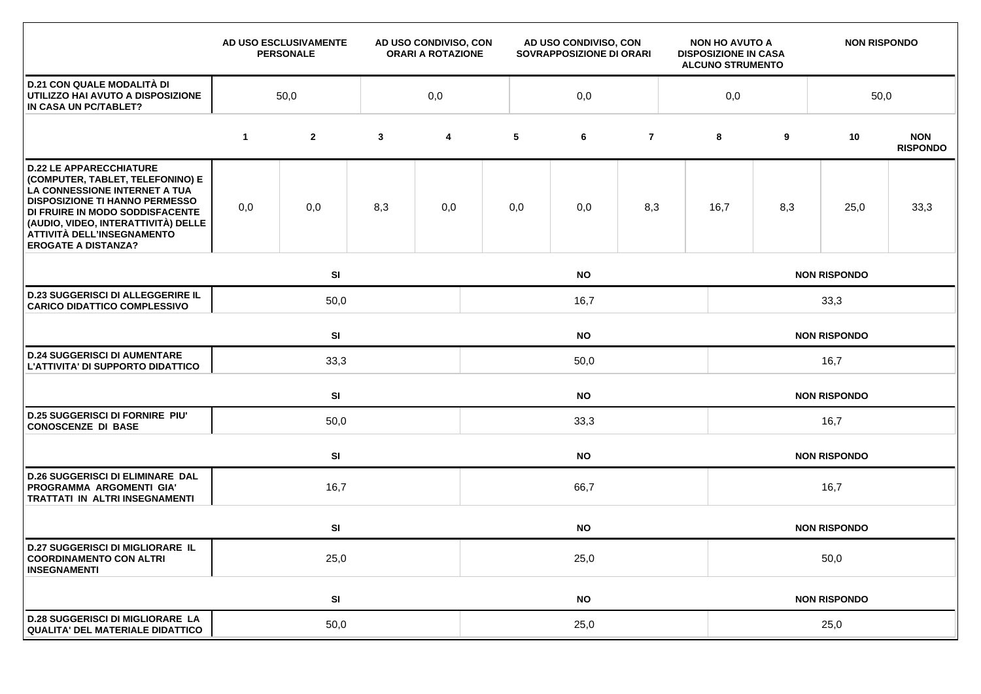|                                                                                                                                                                                                                                                                                    |             | AD USO ESCLUSIVAMENTE<br><b>PERSONALE</b> |              | AD USO CONDIVISO, CON<br><b>ORARI A ROTAZIONE</b> | AD USO CONDIVISO, CON<br>SOVRAPPOSIZIONE DI ORARI |           |                |  | <b>NON HO AVUTO A</b><br><b>DISPOSIZIONE IN CASA</b><br><b>ALCUNO STRUMENTO</b> |                     | <b>NON RISPONDO</b> |                               |  |  |  |
|------------------------------------------------------------------------------------------------------------------------------------------------------------------------------------------------------------------------------------------------------------------------------------|-------------|-------------------------------------------|--------------|---------------------------------------------------|---------------------------------------------------|-----------|----------------|--|---------------------------------------------------------------------------------|---------------------|---------------------|-------------------------------|--|--|--|
| <b>D.21 CON QUALE MODALITÀ DI</b><br>UTILIZZO HAI AVUTO A DISPOSIZIONE<br>IN CASA UN PC/TABLET?                                                                                                                                                                                    | 50,0        |                                           |              | 0,0                                               | 0,0                                               |           |                |  |                                                                                 |                     |                     | 50,0                          |  |  |  |
|                                                                                                                                                                                                                                                                                    | $\mathbf 1$ | $\mathbf{2}$                              | $\mathbf{3}$ | 4                                                 | 5                                                 | 6         | $\overline{7}$ |  | 8                                                                               | 9                   | 10                  | <b>NON</b><br><b>RISPONDO</b> |  |  |  |
| <b>D.22 LE APPARECCHIATURE</b><br>(COMPUTER, TABLET, TELEFONINO) E<br>LA CONNESSIONE INTERNET A TUA<br><b>DISPOSIZIONE TI HANNO PERMESSO</b><br>DI FRUIRE IN MODO SODDISFACENTE<br>(AUDIO, VIDEO, INTERATTIVITÀ) DELLE<br>ATTIVITÀ DELL'INSEGNAMENTO<br><b>EROGATE A DISTANZA?</b> | 0,0         | 0,0                                       | 8,3          | 0,0                                               | 0,0                                               | 0,0       | 8,3            |  | 16,7                                                                            | 8,3                 | 25,0                | 33,3                          |  |  |  |
|                                                                                                                                                                                                                                                                                    |             | SI<br><b>NO</b>                           |              |                                                   |                                                   |           |                |  |                                                                                 | <b>NON RISPONDO</b> |                     |                               |  |  |  |
| <b>D.23 SUGGERISCI DI ALLEGGERIRE IL</b><br><b>CARICO DIDATTICO COMPLESSIVO</b>                                                                                                                                                                                                    |             | 50,0<br>16,7                              |              |                                                   |                                                   |           |                |  | 33,3                                                                            |                     |                     |                               |  |  |  |
|                                                                                                                                                                                                                                                                                    |             | SI<br><b>NO</b>                           |              |                                                   |                                                   |           |                |  |                                                                                 | <b>NON RISPONDO</b> |                     |                               |  |  |  |
| <b>D.24 SUGGERISCI DI AUMENTARE</b><br>L'ATTIVITA' DI SUPPORTO DIDATTICO                                                                                                                                                                                                           |             | 33,3                                      |              |                                                   |                                                   | 50,0      |                |  | 16,7                                                                            |                     |                     |                               |  |  |  |
|                                                                                                                                                                                                                                                                                    |             | SI                                        |              |                                                   | <b>NO</b><br><b>NON RISPONDO</b>                  |           |                |  |                                                                                 |                     |                     |                               |  |  |  |
| <b>D.25 SUGGERISCI DI FORNIRE PIU'</b><br><b>CONOSCENZE DI BASE</b>                                                                                                                                                                                                                |             | 50,0                                      |              |                                                   | 33,3                                              |           |                |  |                                                                                 | 16,7                |                     |                               |  |  |  |
|                                                                                                                                                                                                                                                                                    |             | SI                                        |              |                                                   | <b>NO</b>                                         |           |                |  |                                                                                 |                     | <b>NON RISPONDO</b> |                               |  |  |  |
| <b>D.26 SUGGERISCI DI ELIMINARE DAL</b><br>PROGRAMMA ARGOMENTI GIA'<br><b>TRATTATI IN ALTRI INSEGNAMENTI</b>                                                                                                                                                                       |             | 16,7                                      |              | 66,7                                              |                                                   |           |                |  |                                                                                 | 16,7                |                     |                               |  |  |  |
|                                                                                                                                                                                                                                                                                    |             | SI                                        |              |                                                   | <b>NO</b><br><b>NON RISPONDO</b>                  |           |                |  |                                                                                 |                     |                     |                               |  |  |  |
| <b>D.27 SUGGERISCI DI MIGLIORARE IL</b><br><b>COORDINAMENTO CON ALTRI</b><br><b>INSEGNAMENTI</b>                                                                                                                                                                                   |             | 25,0                                      |              |                                                   | 25,0                                              |           |                |  |                                                                                 | 50,0                |                     |                               |  |  |  |
|                                                                                                                                                                                                                                                                                    |             | SI                                        |              |                                                   |                                                   | <b>NO</b> |                |  |                                                                                 |                     | <b>NON RISPONDO</b> |                               |  |  |  |
| <b>D.28 SUGGERISCI DI MIGLIORARE LA</b><br>QUALITA' DEL MATERIALE DIDATTICO                                                                                                                                                                                                        |             | 50,0                                      |              | 25,0                                              |                                                   |           |                |  |                                                                                 | 25,0                |                     |                               |  |  |  |